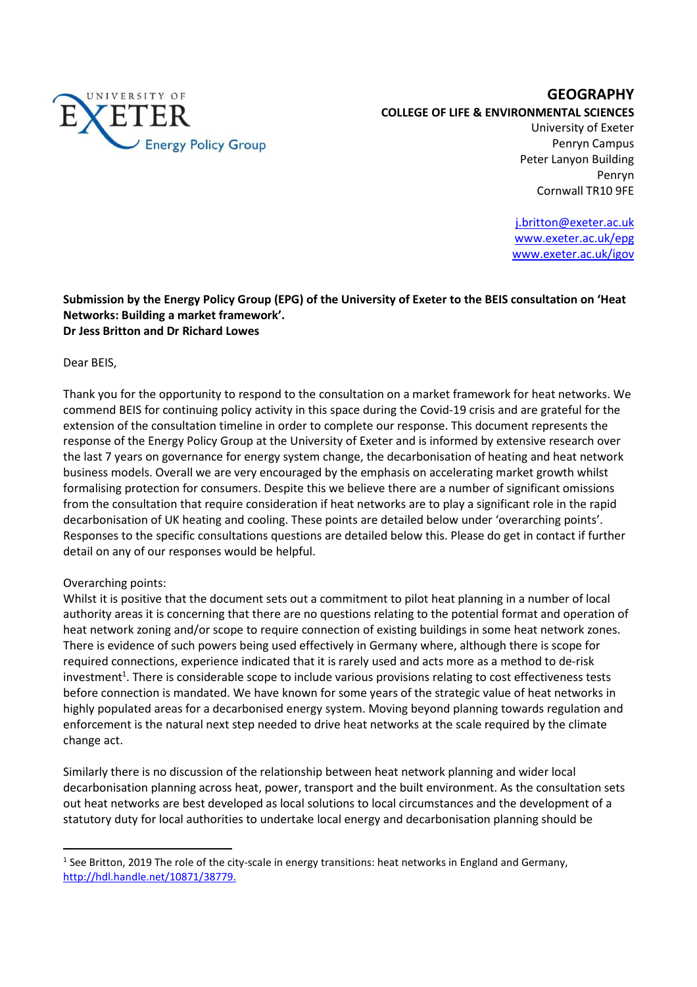

## **GEOGRAPHY COLLEGE OF LIFE & ENVIRONMENTAL SCIENCES**

University of Exeter Penryn Campus Peter Lanyon Building Penryn Cornwall TR10 9FE

j.britton@exeter.ac.uk www.exeter.ac.uk/epg www.exeter.ac.uk/igov

## **Submission by the Energy Policy Group (EPG) of the University of Exeter to the BEIS consultation on 'Heat Networks: Building a market framework'. Dr Jess Britton and Dr Richard Lowes**

Dear BEIS,

Thank you for the opportunity to respond to the consultation on a market framework for heat networks. We commend BEIS for continuing policy activity in this space during the Covid-19 crisis and are grateful for the extension of the consultation timeline in order to complete our response. This document represents the response of the Energy Policy Group at the University of Exeter and is informed by extensive research over the last 7 years on governance for energy system change, the decarbonisation of heating and heat network business models. Overall we are very encouraged by the emphasis on accelerating market growth whilst formalising protection for consumers. Despite this we believe there are a number of significant omissions from the consultation that require consideration if heat networks are to play a significant role in the rapid decarbonisation of UK heating and cooling. These points are detailed below under 'overarching points'. Responses to the specific consultations questions are detailed below this. Please do get in contact if further detail on any of our responses would be helpful.

# Overarching points:

 $\overline{a}$ 

Whilst it is positive that the document sets out a commitment to pilot heat planning in a number of local authority areas it is concerning that there are no questions relating to the potential format and operation of heat network zoning and/or scope to require connection of existing buildings in some heat network zones. There is evidence of such powers being used effectively in Germany where, although there is scope for required connections, experience indicated that it is rarely used and acts more as a method to de-risk investment<sup>1</sup>. There is considerable scope to include various provisions relating to cost effectiveness tests before connection is mandated. We have known for some years of the strategic value of heat networks in highly populated areas for a decarbonised energy system. Moving beyond planning towards regulation and enforcement is the natural next step needed to drive heat networks at the scale required by the climate change act.

Similarly there is no discussion of the relationship between heat network planning and wider local decarbonisation planning across heat, power, transport and the built environment. As the consultation sets out heat networks are best developed as local solutions to local circumstances and the development of a statutory duty for local authorities to undertake local energy and decarbonisation planning should be

<sup>&</sup>lt;sup>1</sup> See Britton, 2019 The role of the city-scale in energy transitions: heat networks in England and Germany, http://hdl.handle.net/10871/38779.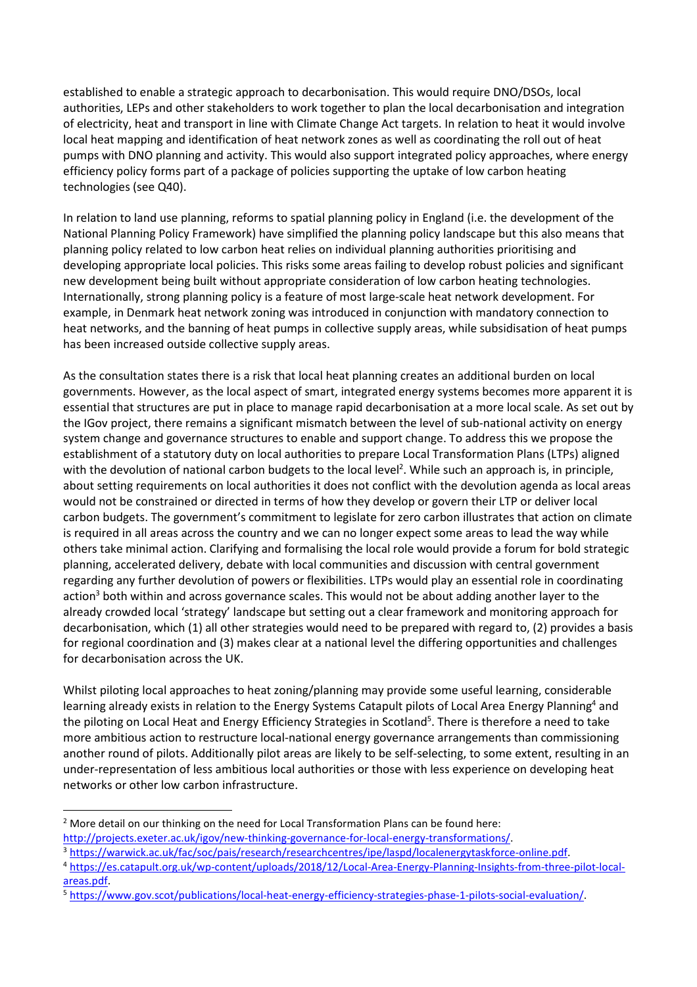established to enable a strategic approach to decarbonisation. This would require DNO/DSOs, local authorities, LEPs and other stakeholders to work together to plan the local decarbonisation and integration of electricity, heat and transport in line with Climate Change Act targets. In relation to heat it would involve local heat mapping and identification of heat network zones as well as coordinating the roll out of heat pumps with DNO planning and activity. This would also support integrated policy approaches, where energy efficiency policy forms part of a package of policies supporting the uptake of low carbon heating technologies (see Q40).

In relation to land use planning, reforms to spatial planning policy in England (i.e. the development of the National Planning Policy Framework) have simplified the planning policy landscape but this also means that planning policy related to low carbon heat relies on individual planning authorities prioritising and developing appropriate local policies. This risks some areas failing to develop robust policies and significant new development being built without appropriate consideration of low carbon heating technologies. Internationally, strong planning policy is a feature of most large-scale heat network development. For example, in Denmark heat network zoning was introduced in conjunction with mandatory connection to heat networks, and the banning of heat pumps in collective supply areas, while subsidisation of heat pumps has been increased outside collective supply areas.

As the consultation states there is a risk that local heat planning creates an additional burden on local governments. However, as the local aspect of smart, integrated energy systems becomes more apparent it is essential that structures are put in place to manage rapid decarbonisation at a more local scale. As set out by the IGov project, there remains a significant mismatch between the level of sub-national activity on energy system change and governance structures to enable and support change. To address this we propose the establishment of a statutory duty on local authorities to prepare Local Transformation Plans (LTPs) aligned with the devolution of national carbon budgets to the local level<sup>2</sup>. While such an approach is, in principle, about setting requirements on local authorities it does not conflict with the devolution agenda as local areas would not be constrained or directed in terms of how they develop or govern their LTP or deliver local carbon budgets. The government's commitment to legislate for zero carbon illustrates that action on climate is required in all areas across the country and we can no longer expect some areas to lead the way while others take minimal action. Clarifying and formalising the local role would provide a forum for bold strategic planning, accelerated delivery, debate with local communities and discussion with central government regarding any further devolution of powers or flexibilities. LTPs would play an essential role in coordinating action<sup>3</sup> both within and across governance scales. This would not be about adding another layer to the already crowded local 'strategy' landscape but setting out a clear framework and monitoring approach for decarbonisation, which (1) all other strategies would need to be prepared with regard to, (2) provides a basis for regional coordination and (3) makes clear at a national level the differing opportunities and challenges for decarbonisation across the UK.

Whilst piloting local approaches to heat zoning/planning may provide some useful learning, considerable learning already exists in relation to the Energy Systems Catapult pilots of Local Area Energy Planning<sup>4</sup> and the piloting on Local Heat and Energy Efficiency Strategies in Scotland<sup>5</sup>. There is therefore a need to take more ambitious action to restructure local-national energy governance arrangements than commissioning another round of pilots. Additionally pilot areas are likely to be self-selecting, to some extent, resulting in an under-representation of less ambitious local authorities or those with less experience on developing heat networks or other low carbon infrastructure.

l

<sup>&</sup>lt;sup>2</sup> More detail on our thinking on the need for Local Transformation Plans can be found here: http://projects.exeter.ac.uk/igov/new-thinking-governance-for-local-energy-transformations/.

<sup>3</sup> https://warwick.ac.uk/fac/soc/pais/research/researchcentres/ipe/laspd/localenergytaskforce-online.pdf.

<sup>4</sup> https://es.catapult.org.uk/wp-content/uploads/2018/12/Local-Area-Energy-Planning-Insights-from-three-pilot-localareas.pdf.

<sup>5</sup> https://www.gov.scot/publications/local-heat-energy-efficiency-strategies-phase-1-pilots-social-evaluation/.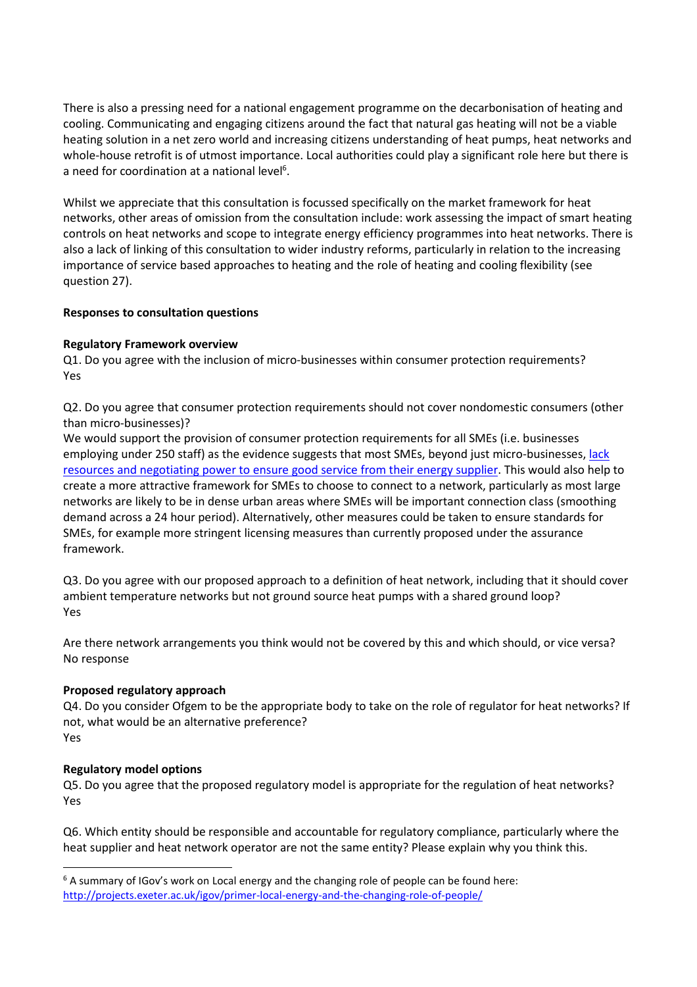There is also a pressing need for a national engagement programme on the decarbonisation of heating and cooling. Communicating and engaging citizens around the fact that natural gas heating will not be a viable heating solution in a net zero world and increasing citizens understanding of heat pumps, heat networks and whole-house retrofit is of utmost importance. Local authorities could play a significant role here but there is a need for coordination at a national level<sup>6</sup>.

Whilst we appreciate that this consultation is focussed specifically on the market framework for heat networks, other areas of omission from the consultation include: work assessing the impact of smart heating controls on heat networks and scope to integrate energy efficiency programmes into heat networks. There is also a lack of linking of this consultation to wider industry reforms, particularly in relation to the increasing importance of service based approaches to heating and the role of heating and cooling flexibility (see question 27).

## **Responses to consultation questions**

## **Regulatory Framework overview**

Q1. Do you agree with the inclusion of micro-businesses within consumer protection requirements? Yes

Q2. Do you agree that consumer protection requirements should not cover nondomestic consumers (other than micro-businesses)?

We would support the provision of consumer protection requirements for all SMEs (i.e. businesses employing under 250 staff) as the evidence suggests that most SMEs, beyond just micro-businesses, lack resources and negotiating power to ensure good service from their energy supplier. This would also help to create a more attractive framework for SMEs to choose to connect to a network, particularly as most large networks are likely to be in dense urban areas where SMEs will be important connection class (smoothing demand across a 24 hour period). Alternatively, other measures could be taken to ensure standards for SMEs, for example more stringent licensing measures than currently proposed under the assurance framework.

Q3. Do you agree with our proposed approach to a definition of heat network, including that it should cover ambient temperature networks but not ground source heat pumps with a shared ground loop? Yes

Are there network arrangements you think would not be covered by this and which should, or vice versa? No response

## **Proposed regulatory approach**

Q4. Do you consider Ofgem to be the appropriate body to take on the role of regulator for heat networks? If not, what would be an alternative preference? Yes

# **Regulatory model options**

 $\overline{\phantom{0}}$ 

Q5. Do you agree that the proposed regulatory model is appropriate for the regulation of heat networks? Yes

Q6. Which entity should be responsible and accountable for regulatory compliance, particularly where the heat supplier and heat network operator are not the same entity? Please explain why you think this.

 $6$  A summary of IGov's work on Local energy and the changing role of people can be found here: http://projects.exeter.ac.uk/igov/primer-local-energy-and-the-changing-role-of-people/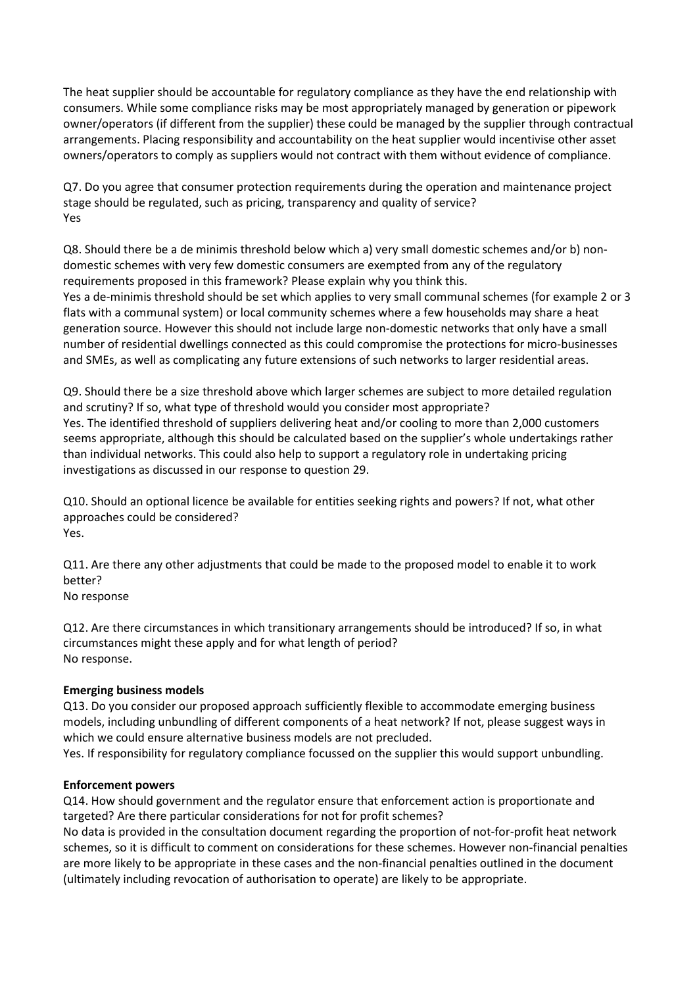The heat supplier should be accountable for regulatory compliance as they have the end relationship with consumers. While some compliance risks may be most appropriately managed by generation or pipework owner/operators (if different from the supplier) these could be managed by the supplier through contractual arrangements. Placing responsibility and accountability on the heat supplier would incentivise other asset owners/operators to comply as suppliers would not contract with them without evidence of compliance.

Q7. Do you agree that consumer protection requirements during the operation and maintenance project stage should be regulated, such as pricing, transparency and quality of service? Yes

Q8. Should there be a de minimis threshold below which a) very small domestic schemes and/or b) nondomestic schemes with very few domestic consumers are exempted from any of the regulatory requirements proposed in this framework? Please explain why you think this. Yes a de-minimis threshold should be set which applies to very small communal schemes (for example 2 or 3 flats with a communal system) or local community schemes where a few households may share a heat generation source. However this should not include large non-domestic networks that only have a small number of residential dwellings connected as this could compromise the protections for micro-businesses and SMEs, as well as complicating any future extensions of such networks to larger residential areas.

Q9. Should there be a size threshold above which larger schemes are subject to more detailed regulation and scrutiny? If so, what type of threshold would you consider most appropriate? Yes. The identified threshold of suppliers delivering heat and/or cooling to more than 2,000 customers seems appropriate, although this should be calculated based on the supplier's whole undertakings rather than individual networks. This could also help to support a regulatory role in undertaking pricing investigations as discussed in our response to question 29.

Q10. Should an optional licence be available for entities seeking rights and powers? If not, what other approaches could be considered? Yes.

Q11. Are there any other adjustments that could be made to the proposed model to enable it to work better?

No response

Q12. Are there circumstances in which transitionary arrangements should be introduced? If so, in what circumstances might these apply and for what length of period? No response.

# **Emerging business models**

Q13. Do you consider our proposed approach sufficiently flexible to accommodate emerging business models, including unbundling of different components of a heat network? If not, please suggest ways in which we could ensure alternative business models are not precluded.

Yes. If responsibility for regulatory compliance focussed on the supplier this would support unbundling.

# **Enforcement powers**

Q14. How should government and the regulator ensure that enforcement action is proportionate and targeted? Are there particular considerations for not for profit schemes?

No data is provided in the consultation document regarding the proportion of not-for-profit heat network schemes, so it is difficult to comment on considerations for these schemes. However non-financial penalties are more likely to be appropriate in these cases and the non-financial penalties outlined in the document (ultimately including revocation of authorisation to operate) are likely to be appropriate.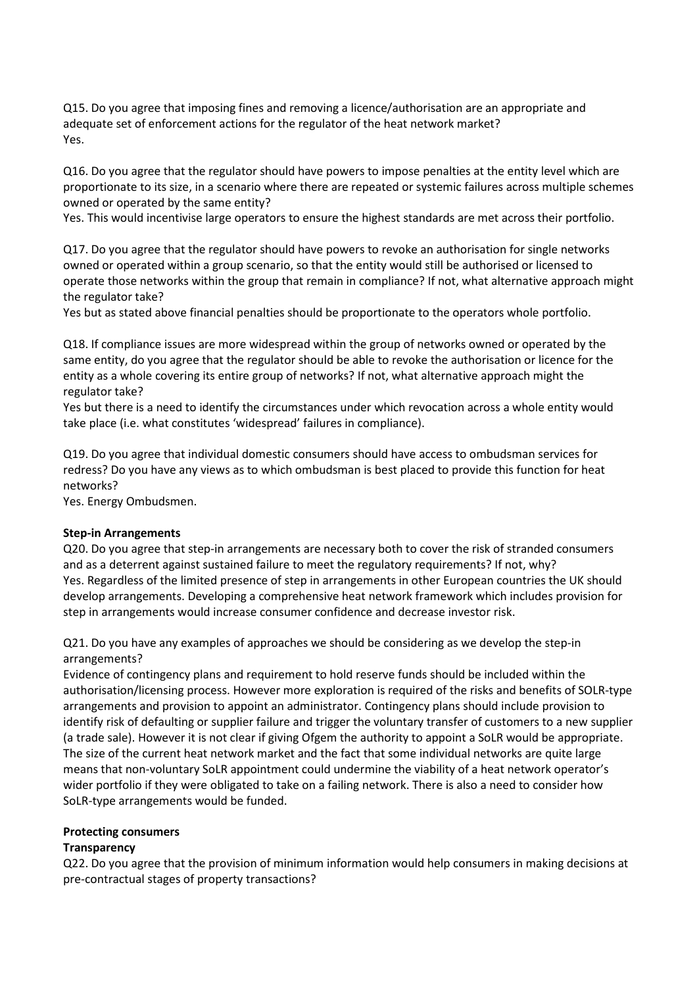Q15. Do you agree that imposing fines and removing a licence/authorisation are an appropriate and adequate set of enforcement actions for the regulator of the heat network market? Yes.

Q16. Do you agree that the regulator should have powers to impose penalties at the entity level which are proportionate to its size, in a scenario where there are repeated or systemic failures across multiple schemes owned or operated by the same entity?

Yes. This would incentivise large operators to ensure the highest standards are met across their portfolio.

Q17. Do you agree that the regulator should have powers to revoke an authorisation for single networks owned or operated within a group scenario, so that the entity would still be authorised or licensed to operate those networks within the group that remain in compliance? If not, what alternative approach might the regulator take?

Yes but as stated above financial penalties should be proportionate to the operators whole portfolio.

Q18. If compliance issues are more widespread within the group of networks owned or operated by the same entity, do you agree that the regulator should be able to revoke the authorisation or licence for the entity as a whole covering its entire group of networks? If not, what alternative approach might the regulator take?

Yes but there is a need to identify the circumstances under which revocation across a whole entity would take place (i.e. what constitutes 'widespread' failures in compliance).

Q19. Do you agree that individual domestic consumers should have access to ombudsman services for redress? Do you have any views as to which ombudsman is best placed to provide this function for heat networks?

Yes. Energy Ombudsmen.

## **Step-in Arrangements**

Q20. Do you agree that step-in arrangements are necessary both to cover the risk of stranded consumers and as a deterrent against sustained failure to meet the regulatory requirements? If not, why? Yes. Regardless of the limited presence of step in arrangements in other European countries the UK should develop arrangements. Developing a comprehensive heat network framework which includes provision for step in arrangements would increase consumer confidence and decrease investor risk.

Q21. Do you have any examples of approaches we should be considering as we develop the step-in arrangements?

Evidence of contingency plans and requirement to hold reserve funds should be included within the authorisation/licensing process. However more exploration is required of the risks and benefits of SOLR-type arrangements and provision to appoint an administrator. Contingency plans should include provision to identify risk of defaulting or supplier failure and trigger the voluntary transfer of customers to a new supplier (a trade sale). However it is not clear if giving Ofgem the authority to appoint a SoLR would be appropriate. The size of the current heat network market and the fact that some individual networks are quite large means that non-voluntary SoLR appointment could undermine the viability of a heat network operator's wider portfolio if they were obligated to take on a failing network. There is also a need to consider how SoLR-type arrangements would be funded.

## **Protecting consumers**

## **Transparency**

Q22. Do you agree that the provision of minimum information would help consumers in making decisions at pre-contractual stages of property transactions?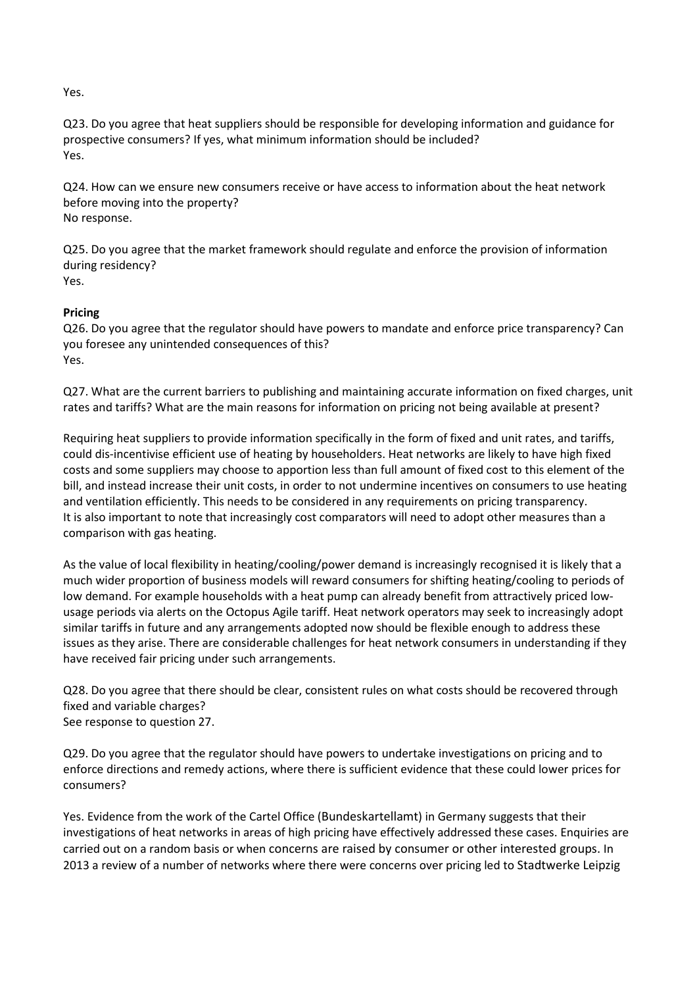Yes.

Q23. Do you agree that heat suppliers should be responsible for developing information and guidance for prospective consumers? If yes, what minimum information should be included? Yes.

Q24. How can we ensure new consumers receive or have access to information about the heat network before moving into the property? No response.

Q25. Do you agree that the market framework should regulate and enforce the provision of information during residency? Yes.

# **Pricing**

Q26. Do you agree that the regulator should have powers to mandate and enforce price transparency? Can you foresee any unintended consequences of this? Yes.

Q27. What are the current barriers to publishing and maintaining accurate information on fixed charges, unit rates and tariffs? What are the main reasons for information on pricing not being available at present?

Requiring heat suppliers to provide information specifically in the form of fixed and unit rates, and tariffs, could dis-incentivise efficient use of heating by householders. Heat networks are likely to have high fixed costs and some suppliers may choose to apportion less than full amount of fixed cost to this element of the bill, and instead increase their unit costs, in order to not undermine incentives on consumers to use heating and ventilation efficiently. This needs to be considered in any requirements on pricing transparency. It is also important to note that increasingly cost comparators will need to adopt other measures than a comparison with gas heating.

As the value of local flexibility in heating/cooling/power demand is increasingly recognised it is likely that a much wider proportion of business models will reward consumers for shifting heating/cooling to periods of low demand. For example households with a heat pump can already benefit from attractively priced lowusage periods via alerts on the Octopus Agile tariff. Heat network operators may seek to increasingly adopt similar tariffs in future and any arrangements adopted now should be flexible enough to address these issues as they arise. There are considerable challenges for heat network consumers in understanding if they have received fair pricing under such arrangements.

Q28. Do you agree that there should be clear, consistent rules on what costs should be recovered through fixed and variable charges? See response to question 27.

Q29. Do you agree that the regulator should have powers to undertake investigations on pricing and to enforce directions and remedy actions, where there is sufficient evidence that these could lower prices for consumers?

Yes. Evidence from the work of the Cartel Office (Bundeskartellamt) in Germany suggests that their investigations of heat networks in areas of high pricing have effectively addressed these cases. Enquiries are carried out on a random basis or when concerns are raised by consumer or other interested groups. In 2013 a review of a number of networks where there were concerns over pricing led to Stadtwerke Leipzig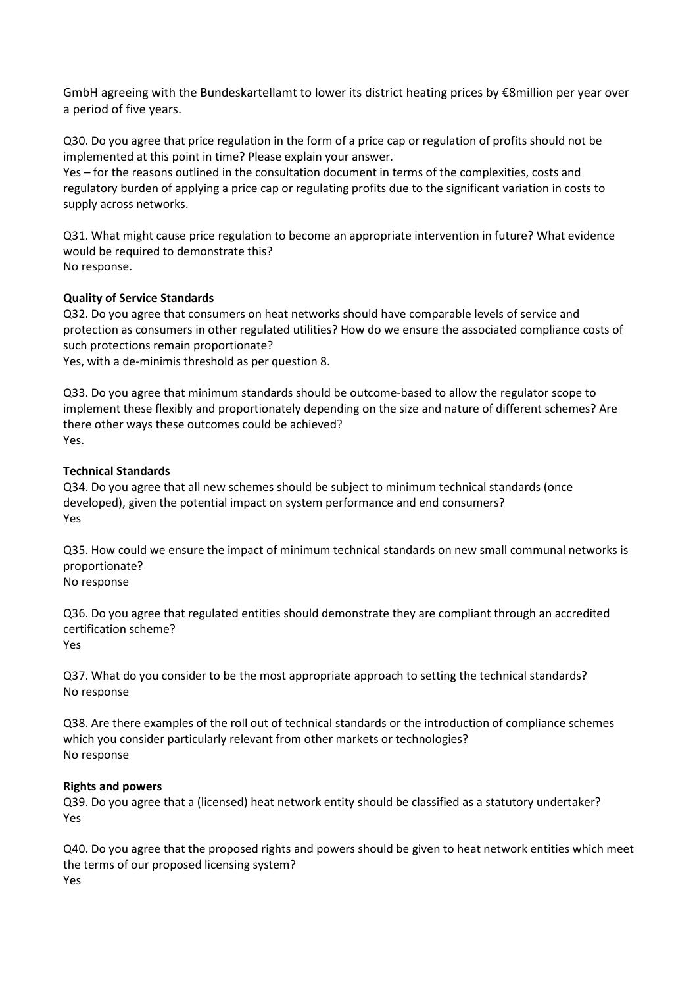GmbH agreeing with the Bundeskartellamt to lower its district heating prices by €8million per year over a period of five years.

Q30. Do you agree that price regulation in the form of a price cap or regulation of profits should not be implemented at this point in time? Please explain your answer.

Yes – for the reasons outlined in the consultation document in terms of the complexities, costs and regulatory burden of applying a price cap or regulating profits due to the significant variation in costs to supply across networks.

Q31. What might cause price regulation to become an appropriate intervention in future? What evidence would be required to demonstrate this? No response.

## **Quality of Service Standards**

Q32. Do you agree that consumers on heat networks should have comparable levels of service and protection as consumers in other regulated utilities? How do we ensure the associated compliance costs of such protections remain proportionate?

Yes, with a de-minimis threshold as per question 8.

Q33. Do you agree that minimum standards should be outcome-based to allow the regulator scope to implement these flexibly and proportionately depending on the size and nature of different schemes? Are there other ways these outcomes could be achieved? Yes.

## **Technical Standards**

Q34. Do you agree that all new schemes should be subject to minimum technical standards (once developed), given the potential impact on system performance and end consumers? Yes

Q35. How could we ensure the impact of minimum technical standards on new small communal networks is proportionate?

No response

Q36. Do you agree that regulated entities should demonstrate they are compliant through an accredited certification scheme? Yes

Q37. What do you consider to be the most appropriate approach to setting the technical standards? No response

Q38. Are there examples of the roll out of technical standards or the introduction of compliance schemes which you consider particularly relevant from other markets or technologies? No response

## **Rights and powers**

Q39. Do you agree that a (licensed) heat network entity should be classified as a statutory undertaker? Yes

Q40. Do you agree that the proposed rights and powers should be given to heat network entities which meet the terms of our proposed licensing system? Yes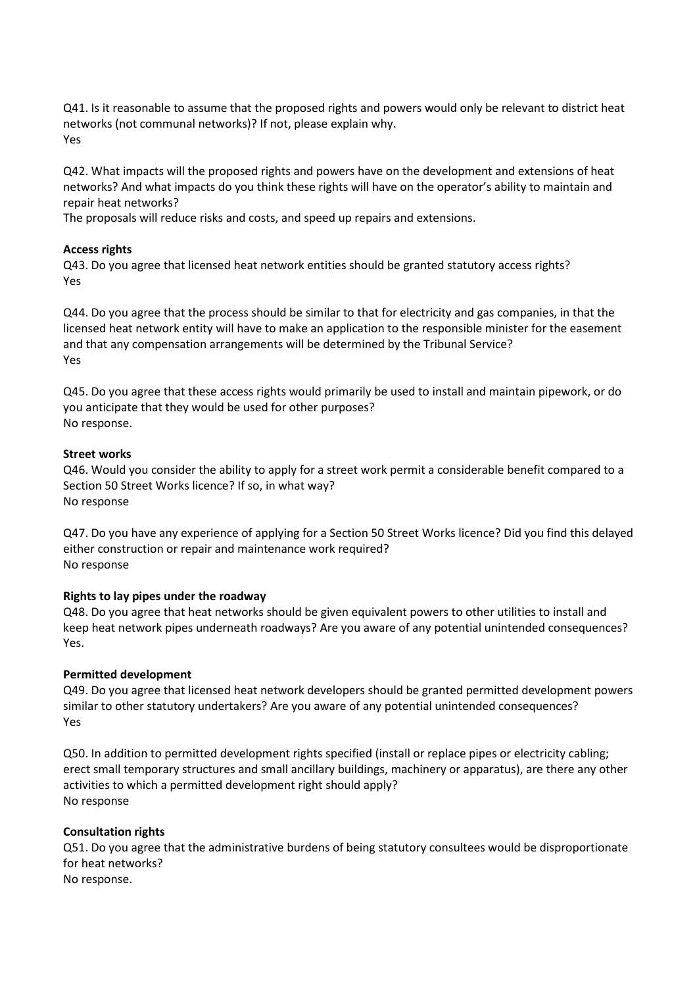Q41. Is it reasonable to assume that the proposed rights and powers would only be relevant to district heat networks (not communal networks)? If not, please explain why. Yes

Q42. What impacts will the proposed rights and powers have on the development and extensions of heat networks? And what impacts do you think these rights will have on the operator's ability to maintain and repair heat networks?

The proposals will reduce risks and costs, and speed up repairs and extensions.

## **Access rights**

Q43. Do you agree that licensed heat network entities should be granted statutory access rights? Yes

Q44. Do you agree that the process should be similar to that for electricity and gas companies, in that the licensed heat network entity will have to make an application to the responsible minister for the easement and that any compensation arrangements will be determined by the Tribunal Service? Yes

Q45. Do you agree that these access rights would primarily be used to install and maintain pipework, or do you anticipate that they would be used for other purposes? No response.

## **Street works**

Q46. Would you consider the ability to apply for a street work permit a considerable benefit compared to a Section 50 Street Works licence? If so, in what way? No response

Q47. Do you have any experience of applying for a Section 50 Street Works licence? Did you find this delayed either construction or repair and maintenance work required? No response

## **Rights to lay pipes under the roadway**

Q48. Do you agree that heat networks should be given equivalent powers to other utilities to install and keep heat network pipes underneath roadways? Are you aware of any potential unintended consequences? Yes.

# **Permitted development**

Q49. Do you agree that licensed heat network developers should be granted permitted development powers similar to other statutory undertakers? Are you aware of any potential unintended consequences? Yes

Q50. In addition to permitted development rights specified (install or replace pipes or electricity cabling; erect small temporary structures and small ancillary buildings, machinery or apparatus), are there any other activities to which a permitted development right should apply? No response

# **Consultation rights**

Q51. Do you agree that the administrative burdens of being statutory consultees would be disproportionate for heat networks? No response.